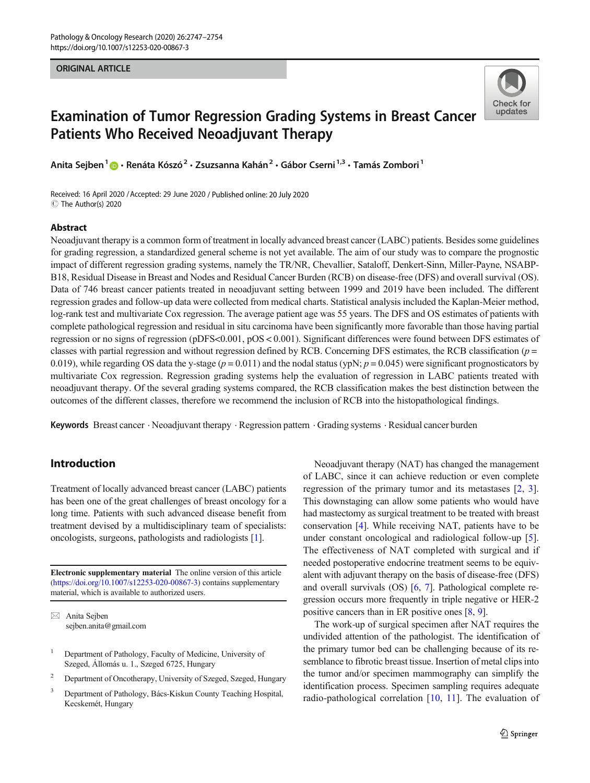#### ORIGINAL ARTICLE



# Examination of Tumor Regression Grading Systems in Breast Cancer Patients Who Received Neoadjuvant Therapy

Anita Sejben<sup>1</sup>  $\cdot$  Renáta Kószó<sup>2</sup> • Zsuzsanna Kahán<sup>2</sup> • Gábor Cserni<sup>1,3</sup> • Tamás Zombori<sup>1</sup>

Received: 16 April 2020 /Accepted: 29 June 2020 / Published online: 20 July 2020 C The Author(s) 2020

#### Abstract

Neoadjuvant therapy is a common form of treatment in locally advanced breast cancer (LABC) patients. Besides some guidelines for grading regression, a standardized general scheme is not yet available. The aim of our study was to compare the prognostic impact of different regression grading systems, namely the TR/NR, Chevallier, Sataloff, Denkert-Sinn, Miller-Payne, NSABP-B18, Residual Disease in Breast and Nodes and Residual Cancer Burden (RCB) on disease-free (DFS) and overall survival (OS). Data of 746 breast cancer patients treated in neoadjuvant setting between 1999 and 2019 have been included. The different regression grades and follow-up data were collected from medical charts. Statistical analysis included the Kaplan-Meier method, log-rank test and multivariate Cox regression. The average patient age was 55 years. The DFS and OS estimates of patients with complete pathological regression and residual in situ carcinoma have been significantly more favorable than those having partial regression or no signs of regression (pDFS<0.001, pOS < 0.001). Significant differences were found between DFS estimates of classes with partial regression and without regression defined by RCB. Concerning DFS estimates, the RCB classification ( $p =$ 0.019), while regarding OS data the y-stage  $(p=0.011)$  and the nodal status (ypN;  $p=0.045$ ) were significant prognosticators by multivariate Cox regression. Regression grading systems help the evaluation of regression in LABC patients treated with neoadjuvant therapy. Of the several grading systems compared, the RCB classification makes the best distinction between the outcomes of the different classes, therefore we recommend the inclusion of RCB into the histopathological findings.

Keywords Breast cancer . Neoadjuvant therapy . Regression pattern . Grading systems . Residual cancer burden

## Introduction

Treatment of locally advanced breast cancer (LABC) patients has been one of the great challenges of breast oncology for a long time. Patients with such advanced disease benefit from treatment devised by a multidisciplinary team of specialists: oncologists, surgeons, pathologists and radiologists [\[1](#page-6-0)].

Electronic supplementary material The online version of this article ([https://doi.org/10.1007/s12253-020-00867-3\)](https://doi.org/10.1007/s12253-020-00867-3) contains supplementary material, which is available to authorized users.

 $\boxtimes$  Anita Sejben [sejben.anita@gmail.com](mailto:sejben.anita@gmail.com)

- <sup>1</sup> Department of Pathology, Faculty of Medicine, University of Szeged, Állomás u. 1., Szeged 6725, Hungary
- <sup>2</sup> Department of Oncotherapy, University of Szeged, Szeged, Hungary
- <sup>3</sup> Department of Pathology, Bács-Kiskun County Teaching Hospital, Kecskemét, Hungary

Neoadjuvant therapy (NAT) has changed the management of LABC, since it can achieve reduction or even complete regression of the primary tumor and its metastases [\[2](#page-6-0), [3\]](#page-6-0). This downstaging can allow some patients who would have had mastectomy as surgical treatment to be treated with breast conservation [\[4](#page-6-0)]. While receiving NAT, patients have to be under constant oncological and radiological follow-up [[5\]](#page-6-0). The effectiveness of NAT completed with surgical and if needed postoperative endocrine treatment seems to be equivalent with adjuvant therapy on the basis of disease-free (DFS) and overall survivals (OS) [[6,](#page-6-0) [7\]](#page-6-0). Pathological complete regression occurs more frequently in triple negative or HER-2 positive cancers than in ER positive ones [\[8](#page-6-0), [9](#page-6-0)].

The work-up of surgical specimen after NAT requires the undivided attention of the pathologist. The identification of the primary tumor bed can be challenging because of its resemblance to fibrotic breast tissue. Insertion of metal clips into the tumor and/or specimen mammography can simplify the identification process. Specimen sampling requires adequate radio-pathological correlation [\[10](#page-7-0), [11\]](#page-7-0). The evaluation of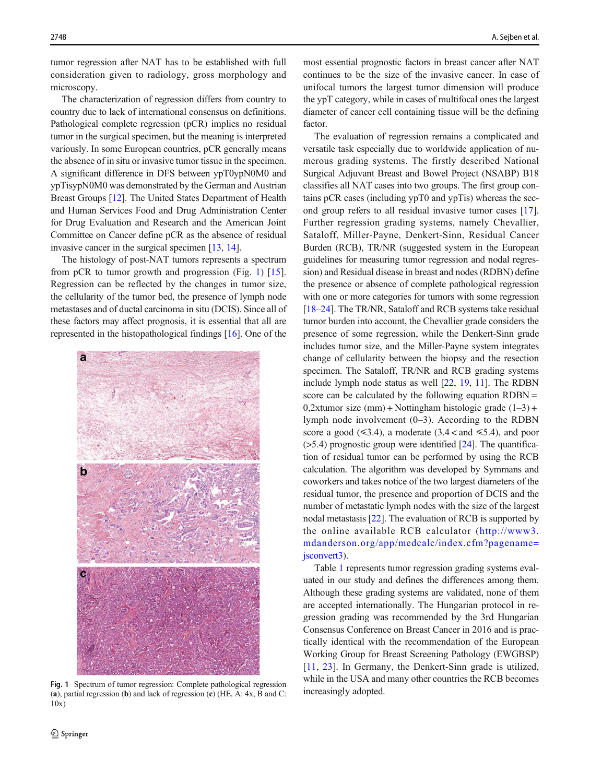tumor regression after NAT has to be established with full consideration given to radiology, gross morphology and microscopy.

The characterization of regression differs from country to country due to lack of international consensus on definitions. Pathological complete regression (pCR) implies no residual tumor in the surgical specimen, but the meaning is interpreted variously. In some European countries, pCR generally means the absence of in situ or invasive tumor tissue in the specimen. A significant difference in DFS between ypT0ypN0M0 and ypTisypN0M0 was demonstrated by the German and Austrian Breast Groups [\[12\]](#page-7-0). The United States Department of Health and Human Services Food and Drug Administration Center for Drug Evaluation and Research and the American Joint Committee on Cancer define pCR as the absence of residual invasive cancer in the surgical specimen [[13](#page-7-0), [14](#page-7-0)].

The histology of post-NAT tumors represents a spectrum from pCR to tumor growth and progression (Fig. 1)  $[15]$  $[15]$ . Regression can be reflected by the changes in tumor size, the cellularity of the tumor bed, the presence of lymph node metastases and of ductal carcinoma in situ (DCIS). Since all of these factors may affect prognosis, it is essential that all are represented in the histopathological findings [\[16](#page-7-0)]. One of the



Fig. 1 Spectrum of tumor regression: Complete pathological regression<br>(a) partial regression (b) and lack of regression (c) (HF  $\Delta$ ;  $\Delta x$  B and C; increasingly adopted. (a), partial regression (b) and lack of regression (c) (HE, A:  $4x$ , B and C: 10x)

most essential prognostic factors in breast cancer after NAT continues to be the size of the invasive cancer. In case of unifocal tumors the largest tumor dimension will produce the ypT category, while in cases of multifocal ones the largest diameter of cancer cell containing tissue will be the defining factor.

The evaluation of regression remains a complicated and versatile task especially due to worldwide application of numerous grading systems. The firstly described National Surgical Adjuvant Breast and Bowel Project (NSABP) B18 classifies all NAT cases into two groups. The first group contains pCR cases (including ypT0 and ypTis) whereas the second group refers to all residual invasive tumor cases [[17\]](#page-7-0). Further regression grading systems, namely Chevallier, Sataloff, Miller-Payne, Denkert-Sinn, Residual Cancer Burden (RCB), TR/NR (suggested system in the European guidelines for measuring tumor regression and nodal regression) and Residual disease in breast and nodes (RDBN) define the presence or absence of complete pathological regression with one or more categories for tumors with some regression [\[18](#page-7-0)–[24\]](#page-7-0). The TR/NR, Sataloff and RCB systems take residual tumor burden into account, the Chevallier grade considers the presence of some regression, while the Denkert-Sinn grade includes tumor size, and the Miller-Payne system integrates change of cellularity between the biopsy and the resection specimen. The Sataloff, TR/NR and RCB grading systems include lymph node status as well [\[22](#page-7-0), [19,](#page-7-0) [11](#page-7-0)]. The RDBN score can be calculated by the following equation RDBN = 0,2xtumor size (mm) + Nottingham histologic grade  $(1-3)$  + lymph node involvement (0–3). According to the RDBN score a good ( $\leq 3.4$ ), a moderate (3.4 < and  $\leq 5.4$ ), and poor  $($ >5.4) prognostic group were identified [[24](#page-7-0)]. The quantification of residual tumor can be performed by using the RCB calculation. The algorithm was developed by Symmans and coworkers and takes notice of the two largest diameters of the residual tumor, the presence and proportion of DCIS and the number of metastatic lymph nodes with the size of the largest nodal metastasis [\[22\]](#page-7-0). The evaluation of RCB is supported by the online available RCB calculator ([http://www3.](http://www3.mdanderson.org/app/medcalc/index.cfm?pagenamesconvert3) [mdanderson.org/app/medcalc/index.cfm?pagename=](http://www3.mdanderson.org/app/medcalc/index.cfm?pagenamesconvert3) [jsconvert3](http://www3.mdanderson.org/app/medcalc/index.cfm?pagenamesconvert3)).

Table [1](#page-2-0) represents tumor regression grading systems evaluated in our study and defines the differences among them. Although these grading systems are validated, none of them are accepted internationally. The Hungarian protocol in regression grading was recommended by the 3rd Hungarian Consensus Conference on Breast Cancer in 2016 and is practically identical with the recommendation of the European Working Group for Breast Screening Pathology (EWGBSP) [\[11,](#page-7-0) [23](#page-7-0)]. In Germany, the Denkert-Sinn grade is utilized, while in the USA and many other countries the RCB becomes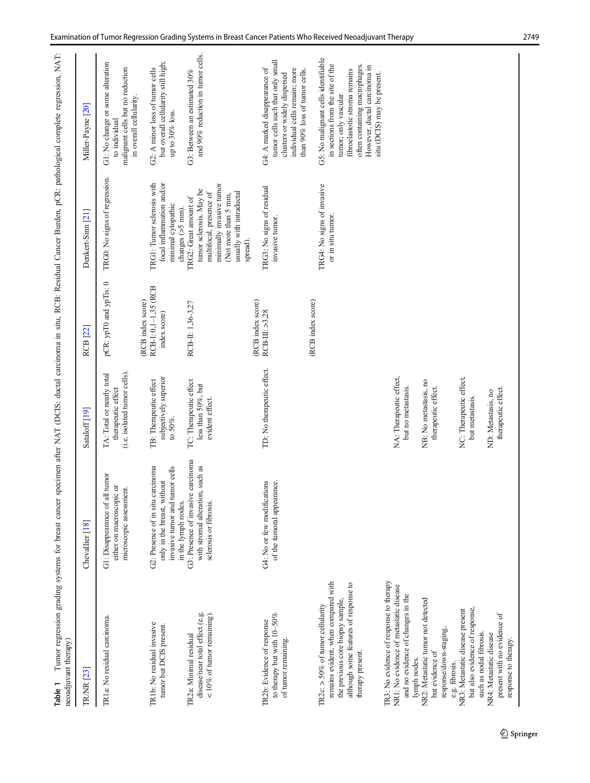<span id="page-2-0"></span>

| Tumor regression grading systems for breast cancer<br>neoadjuvant therapy)<br>Table 1                                                                                      |                                                                                                                         |                                                                                 |                                                           |                                                                                                                                                                                             | specimen after NAT (DCIS: ductal carcinoma in situ, RCB: Residual Cancer Burden, pCR: pathological complete regression, NAT:                                                                      |
|----------------------------------------------------------------------------------------------------------------------------------------------------------------------------|-------------------------------------------------------------------------------------------------------------------------|---------------------------------------------------------------------------------|-----------------------------------------------------------|---------------------------------------------------------------------------------------------------------------------------------------------------------------------------------------------|---------------------------------------------------------------------------------------------------------------------------------------------------------------------------------------------------|
| <b>TRAR</b> [23]                                                                                                                                                           | Chevallier [18]                                                                                                         | Sataloff <sup>[19]</sup>                                                        | RCB [22]                                                  | Denkert-Sinn [21]                                                                                                                                                                           | Miller-Payne [20]                                                                                                                                                                                 |
| TR1a: No residual carcinoma.                                                                                                                                               | G1: Disappearance of all tumor<br>either on macroscopic or<br>microscopic assessment.                                   | (i.e. isolated tumor cells).<br>TA: Total or nearly total<br>therapeutic effect | pCR: ypT0 and ypTis: 0                                    | TRG0: No signs of regression.                                                                                                                                                               | G1: No change or some alteration<br>malignant cells but no reduction<br>in overall cellularity.<br>to individual                                                                                  |
| TR1b: No residual invasive<br>tumor but DCIS present.                                                                                                                      | G2: Presence of in situ carcinoma<br>invasive tumor and tumor cells<br>only in the breast, without                      | subjectively superior<br>TB: Therapeutic effect<br>to 50%.                      | RCB-I: 0,1-1,35 (RCB<br>(RCB index score)<br>index score) | TRG1: Tumor sclerosis with<br>focal inflammation and/or<br>minimal cytopathic                                                                                                               | but overall cellularity still high;<br>G2: A minor loss of tumor cells<br>up to 30% loss.                                                                                                         |
| disease/near total effect (e.g.<br>$< 10\%$ of tumor remaining)<br>TR2a: Minimal residual                                                                                  | G3: Presence of invasive carcinoma<br>with stromal alteration, such as<br>in the lymph nodes.<br>sclerosis or fibrosis. | TC: Therapeutic effect<br>less than 50%, but<br>evident effect.                 | RCB-II: 1,36-3,27                                         | minimally invasive tumor<br>tumor sclerosis. May be<br>multifocal, presence of<br>usually with intraductal<br>(Not more than 5 mm,<br>TRG2: Great amount of<br>changes (>5 mm).<br>spread). | and 90% reduction in turnor cells.<br>G3: Between an estimated 30%                                                                                                                                |
| to therapy but with $10-50\%$<br>TR2b: Evidence of response<br>of tumor remaining                                                                                          | G4: No or few modifications<br>of the tumoral appearance.                                                               | TD: No therapeutic effect.                                                      | (RCB index score)<br>RCB-III: >3,28                       | TRG3: No signs of residual<br>invasive tumor.                                                                                                                                               | tumor cells such that only small<br>G4: A marked disappearance of<br>individual cells remain; more<br>than 90% loss of tumor cells.<br>clusters or widely dispersed                               |
| remains evident, when compared with<br>although some features of response to<br>the previous core biopsy sample,<br>TR2c: $>$ 50% of tumor cellularity<br>therapy present. |                                                                                                                         |                                                                                 | (RCB index score)                                         | TRG4: No signs of invasive<br>or in situ tumor.                                                                                                                                             | G5: No malignant cells identifiable<br>in sections from the site of the<br>often containing macrophages.<br>However, ductal carcinoma in<br>fibroelastotic stroma remains<br>tumor; only vascular |
| TR3: No evidence of response to therapy<br>NR1: No evidence of metastatic disease<br>and no evidence of changes in the                                                     |                                                                                                                         | NA: Therapeutic effect,<br>but no metastasis.                                   |                                                           |                                                                                                                                                                                             | situ (DCIS) may be present.                                                                                                                                                                       |
| NR2: Metastatic tumor not detected<br>response/down-staging,<br>but evidence of<br>lymph nodes.                                                                            |                                                                                                                         | NB: No metastasis, no<br>therapeutic effect.                                    |                                                           |                                                                                                                                                                                             |                                                                                                                                                                                                   |
| but also evidence of response,<br>NR3: Metastatic disease present<br>such as nodal fibrosis.<br>e.g. fibrosis.                                                             |                                                                                                                         | NC: Therapeutic effect,<br>but metastasis.                                      |                                                           |                                                                                                                                                                                             |                                                                                                                                                                                                   |
| present with no evidence of<br>NR4: Metastatic disease<br>response to therapy.                                                                                             |                                                                                                                         | therapeutic effect.<br>ND: Metastasis, no                                       |                                                           |                                                                                                                                                                                             |                                                                                                                                                                                                   |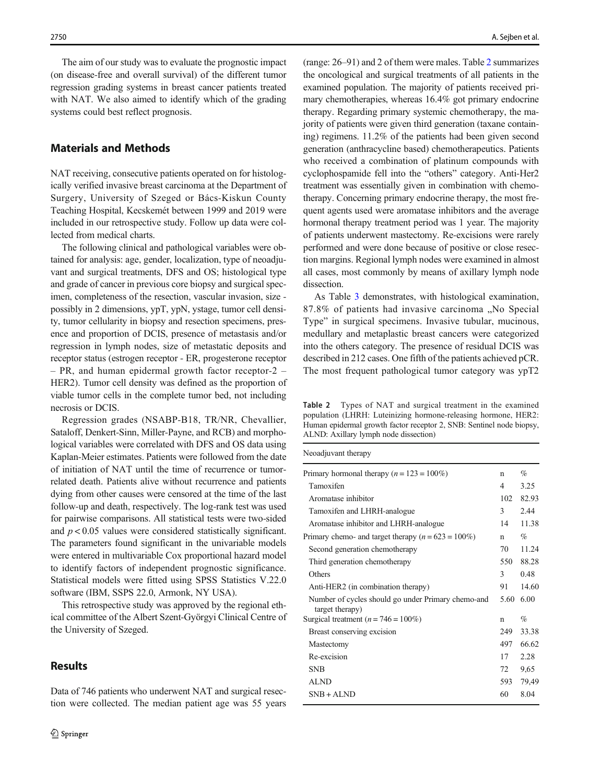The aim of our study was to evaluate the prognostic impact (on disease-free and overall survival) of the different tumor regression grading systems in breast cancer patients treated with NAT. We also aimed to identify which of the grading systems could best reflect prognosis.

#### Materials and Methods

NAT receiving, consecutive patients operated on for histologically verified invasive breast carcinoma at the Department of Surgery, University of Szeged or Bács-Kiskun County Teaching Hospital, Kecskemét between 1999 and 2019 were included in our retrospective study. Follow up data were collected from medical charts.

The following clinical and pathological variables were obtained for analysis: age, gender, localization, type of neoadjuvant and surgical treatments, DFS and OS; histological type and grade of cancer in previous core biopsy and surgical specimen, completeness of the resection, vascular invasion, size possibly in 2 dimensions, ypT, ypN, ystage, tumor cell density, tumor cellularity in biopsy and resection specimens, presence and proportion of DCIS, presence of metastasis and/or regression in lymph nodes, size of metastatic deposits and receptor status (estrogen receptor - ER, progesterone receptor – PR, and human epidermal growth factor receptor-2 – HER2). Tumor cell density was defined as the proportion of viable tumor cells in the complete tumor bed, not including necrosis or DCIS.

Regression grades (NSABP-B18, TR/NR, Chevallier, Sataloff, Denkert-Sinn, Miller-Payne, and RCB) and morphological variables were correlated with DFS and OS data using Kaplan-Meier estimates. Patients were followed from the date of initiation of NAT until the time of recurrence or tumorrelated death. Patients alive without recurrence and patients dying from other causes were censored at the time of the last follow-up and death, respectively. The log-rank test was used for pairwise comparisons. All statistical tests were two-sided and  $p < 0.05$  values were considered statistically significant. The parameters found significant in the univariable models were entered in multivariable Cox proportional hazard model to identify factors of independent prognostic significance. Statistical models were fitted using SPSS Statistics V.22.0 software (IBM, SSPS 22.0, Armonk, NY USA).

This retrospective study was approved by the regional ethical committee of the Albert Szent-Györgyi Clinical Centre of the University of Szeged.

## **Results**

Data of 746 patients who underwent NAT and surgical resection were collected. The median patient age was 55 years

(range: 26–91) and 2 of them were males. Table 2 summarizes the oncological and surgical treatments of all patients in the examined population. The majority of patients received primary chemotherapies, whereas 16.4% got primary endocrine therapy. Regarding primary systemic chemotherapy, the majority of patients were given third generation (taxane containing) regimens. 11.2% of the patients had been given second generation (anthracycline based) chemotherapeutics. Patients who received a combination of platinum compounds with cyclophospamide fell into the "others" category. Anti-Her2 treatment was essentially given in combination with chemotherapy. Concerning primary endocrine therapy, the most frequent agents used were aromatase inhibitors and the average hormonal therapy treatment period was 1 year. The majority of patients underwent mastectomy. Re-excisions were rarely performed and were done because of positive or close resection margins. Regional lymph nodes were examined in almost all cases, most commonly by means of axillary lymph node dissection.

As Table [3](#page-4-0) demonstrates, with histological examination, 87.8% of patients had invasive carcinoma "No Special Type" in surgical specimens. Invasive tubular, mucinous, medullary and metaplastic breast cancers were categorized into the others category. The presence of residual DCIS was described in 212 cases. One fifth of the patients achieved pCR. The most frequent pathological tumor category was ypT2

Table 2 Types of NAT and surgical treatment in the examined population (LHRH: Luteinizing hormone-releasing hormone, HER2: Human epidermal growth factor receptor 2, SNB: Sentinel node biopsy, ALND: Axillary lymph node dissection)

| Neoadjuvant therapy                                                   |                |       |
|-----------------------------------------------------------------------|----------------|-------|
| Primary hormonal therapy $(n = 123 = 100\%)$                          | n              | $\%$  |
| Tamoxifen                                                             | $\overline{4}$ | 3.25  |
| Aromatase inhibitor                                                   | 102            | 82.93 |
| Tamoxifen and LHRH-analogue                                           | 3              | 2.44  |
| Aromatase inhibitor and LHRH-analogue                                 | 14             | 11.38 |
| Primary chemo- and target therapy $(n = 623 = 100\%)$                 | n              | $\%$  |
| Second generation chemotherapy                                        | 70             | 11.24 |
| Third generation chemotherapy                                         | 550            | 88.28 |
| Others                                                                | 3              | 0.48  |
| Anti-HER2 (in combination therapy)                                    | 91             | 14.60 |
| Number of cycles should go under Primary chemo-and<br>target therapy) | 5.60           | 6.00  |
| Surgical treatment ( $n = 746 = 100\%)$                               | n              | $\%$  |
| Breast conserving excision                                            | 249            | 33.38 |
| Mastectomy                                                            | 497            | 66.62 |
| Re-excision                                                           | 17             | 2.28  |
| <b>SNB</b>                                                            | 72             | 9,65  |
| <b>ALND</b>                                                           | 593            | 79,49 |
| $SNB + AIND$                                                          | 60             | 8.04  |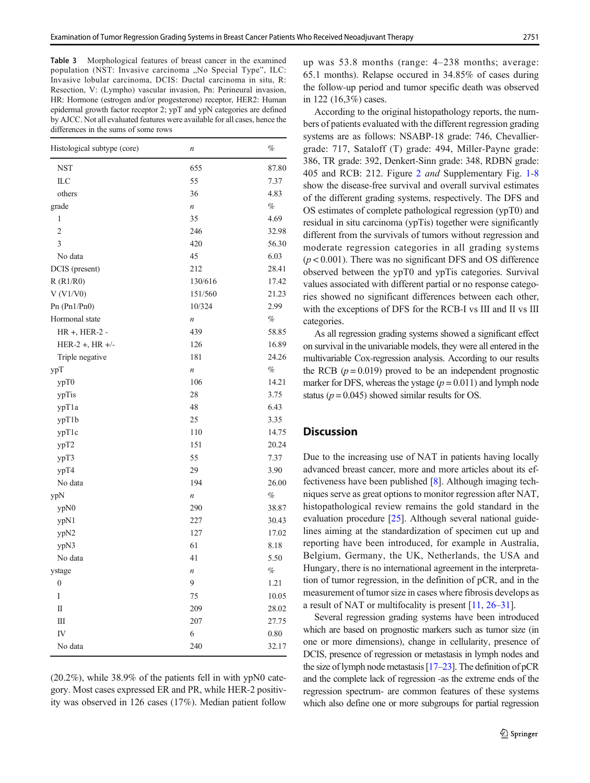<span id="page-4-0"></span>Table 3 Morphological features of breast cancer in the examined population (NST: Invasive carcinoma "No Special Type", ILC: Invasive lobular carcinoma, DCIS: Ductal carcinoma in situ, R: Resection, V: (Lympho) vascular invasion, Pn: Perineural invasion, HR: Hormone (estrogen and/or progesterone) receptor, HER2: Human epidermal growth factor receptor 2; ypT and ypN categories are defined by AJCC. Not all evaluated features were available for all cases, hence the differences in the sums of some rows

| Histological subtype (core) | $\boldsymbol{n}$ | $\%$  |
|-----------------------------|------------------|-------|
| <b>NST</b>                  | 655              | 87.80 |
| ILC                         | 55               | 7.37  |
| others                      | 36               | 4.83  |
| grade                       | $\boldsymbol{n}$ | $\%$  |
| 1                           | 35               | 4.69  |
| $\overline{c}$              | 246              | 32.98 |
| 3                           | 420              | 56.30 |
| No data                     | 45               | 6.03  |
| DCIS (present)              | 212              | 28.41 |
| R(R1/R0)                    | 130/616          | 17.42 |
| V (V1/V0)                   | 151/560          | 21.23 |
| Pn $(Ph1/Ph0)$              | 10/324           | 2.99  |
| Hormonal state              | n                | $\%$  |
| HR +, HER-2 -               | 439              | 58.85 |
| HER-2 +, HR +/-             | 126              | 16.89 |
| Triple negative             | 181              | 24.26 |
| ypT                         | n                | $\%$  |
| ypT0                        | 106              | 14.21 |
| ypTis                       | 28               | 3.75  |
| ypT1a                       | 48               | 6.43  |
| ypT1b                       | 25               | 3.35  |
| ypT1c                       | 110              | 14.75 |
| ypT2                        | 151              | 20.24 |
| урТ3                        | 55               | 7.37  |
| ypT4                        | 29               | 3.90  |
| No data                     | 194              | 26.00 |
| ypN                         | n                | $\%$  |
| ypN0                        | 290              | 38.87 |
| ypN1                        | 227              | 30.43 |
| ypN2                        | 127              | 17.02 |
| ypN3                        | 61               | 8.18  |
| No data                     | 41               | 5.50  |
| ystage                      | n                | $\%$  |
| $\boldsymbol{0}$            | 9                | 1.21  |
| I                           | 75               | 10.05 |
| $\mathbf{I}$                | 209              | 28.02 |
| Ш                           | 207              | 27.75 |
| IV                          | 6                | 0.80  |
| No data                     | 240              | 32.17 |
|                             |                  |       |

(20.2%), while 38.9% of the patients fell in with ypN0 category. Most cases expressed ER and PR, while HER-2 positivity was observed in 126 cases (17%). Median patient follow up was 53.8 months (range: 4–238 months; average: 65.1 months). Relapse occured in 34.85% of cases during the follow-up period and tumor specific death was observed in 122 (16,3%) cases.

According to the original histopathology reports, the numbers of patients evaluated with the different regression grading systems are as follows: NSABP-18 grade: 746, Chevalliergrade: 717, Sataloff (T) grade: 494, Miller-Payne grade: 386, TR grade: 392, Denkert-Sinn grade: 348, RDBN grade: 405 and RCB: 212. Figure [2](#page-5-0) and Supplementary Fig. 1-8 show the disease-free survival and overall survival estimates of the different grading systems, respectively. The DFS and OS estimates of complete pathological regression (ypT0) and residual in situ carcinoma (ypTis) together were significantly different from the survivals of tumors without regression and moderate regression categories in all grading systems  $(p < 0.001)$ . There was no significant DFS and OS difference observed between the ypT0 and ypTis categories. Survival values associated with different partial or no response categories showed no significant differences between each other, with the exceptions of DFS for the RCB-I vs III and II vs III categories.

As all regression grading systems showed a significant effect on survival in the univariable models, they were all entered in the multivariable Cox-regression analysis. According to our results the RCB  $(p = 0.019)$  proved to be an independent prognostic marker for DFS, whereas the ystage  $(p = 0.011)$  and lymph node status ( $p = 0.045$ ) showed similar results for OS.

# **Discussion**

Due to the increasing use of NAT in patients having locally advanced breast cancer, more and more articles about its effectiveness have been published [[8](#page-6-0)]. Although imaging techniques serve as great options to monitor regression after NAT, histopathological review remains the gold standard in the evaluation procedure [\[25\]](#page-7-0). Although several national guidelines aiming at the standardization of specimen cut up and reporting have been introduced, for example in Australia, Belgium, Germany, the UK, Netherlands, the USA and Hungary, there is no international agreement in the interpretation of tumor regression, in the definition of pCR, and in the measurement of tumor size in cases where fibrosis develops as a result of NAT or multifocality is present [\[11,](#page-7-0) [26](#page-7-0)–[31](#page-7-0)].

Several regression grading systems have been introduced which are based on prognostic markers such as tumor size (in one or more dimensions), change in cellularity, presence of DCIS, presence of regression or metastasis in lymph nodes and the size of lymph node metastasis [\[17](#page-7-0)–[23](#page-7-0)]. The definition of pCR and the complete lack of regression -as the extreme ends of the regression spectrum- are common features of these systems which also define one or more subgroups for partial regression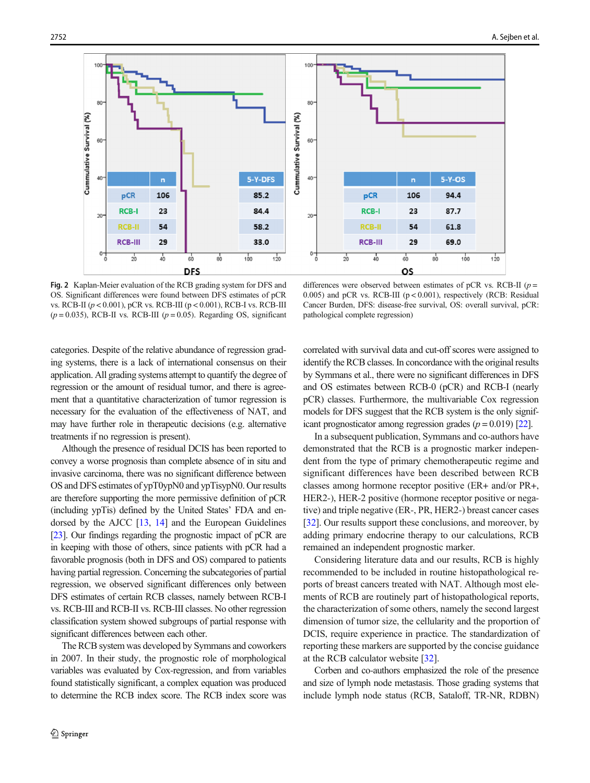<span id="page-5-0"></span>

Fig. 2 Kaplan-Meier evaluation of the RCB grading system for DFS and OS. Significant differences were found between DFS estimates of pCR vs. RCB-II (p < 0.001), pCR vs. RCB-III (p < 0.001), RCB-I vs. RCB-III  $(p = 0.035)$ , RCB-II vs. RCB-III ( $p = 0.05$ ). Regarding OS, significant

differences were observed between estimates of pCR vs. RCB-II ( $p =$ 0.005) and pCR vs. RCB-III ( $p < 0.001$ ), respectively (RCB: Residual Cancer Burden, DFS: disease-free survival, OS: overall survival, pCR: pathological complete regression)

categories. Despite of the relative abundance of regression grading systems, there is a lack of international consensus on their application. All grading systems attempt to quantify the degree of regression or the amount of residual tumor, and there is agreement that a quantitative characterization of tumor regression is necessary for the evaluation of the effectiveness of NAT, and may have further role in therapeutic decisions (e.g. alternative treatments if no regression is present).

Although the presence of residual DCIS has been reported to convey a worse prognosis than complete absence of in situ and invasive carcinoma, there was no significant difference between OS and DFS estimates of ypT0ypN0 and ypTisypN0. Our results are therefore supporting the more permissive definition of pCR (including ypTis) defined by the United States' FDA and endorsed by the AJCC [\[13](#page-7-0), [14](#page-7-0)] and the European Guidelines [\[23](#page-7-0)]. Our findings regarding the prognostic impact of pCR are in keeping with those of others, since patients with pCR had a favorable prognosis (both in DFS and OS) compared to patients having partial regression. Concerning the subcategories of partial regression, we observed significant differences only between DFS estimates of certain RCB classes, namely between RCB-I vs. RCB-III and RCB-II vs. RCB-III classes. No other regression classification system showed subgroups of partial response with significant differences between each other.

The RCB system was developed by Symmans and coworkers in 2007. In their study, the prognostic role of morphological variables was evaluated by Cox-regression, and from variables found statistically significant, a complex equation was produced to determine the RCB index score. The RCB index score was correlated with survival data and cut-off scores were assigned to identify the RCB classes. In concordance with the original results by Symmans et al., there were no significant differences in DFS and OS estimates between RCB-0 (pCR) and RCB-I (nearly pCR) classes. Furthermore, the multivariable Cox regression models for DFS suggest that the RCB system is the only significant prognosticator among regression grades  $(p = 0.019)$  [[22](#page-7-0)].

In a subsequent publication, Symmans and co-authors have demonstrated that the RCB is a prognostic marker independent from the type of primary chemotherapeutic regime and significant differences have been described between RCB classes among hormone receptor positive (ER+ and/or PR+, HER2-), HER-2 positive (hormone receptor positive or negative) and triple negative (ER-, PR, HER2-) breast cancer cases [\[32](#page-7-0)]. Our results support these conclusions, and moreover, by adding primary endocrine therapy to our calculations, RCB remained an independent prognostic marker.

Considering literature data and our results, RCB is highly recommended to be included in routine histopathological reports of breast cancers treated with NAT. Although most elements of RCB are routinely part of histopathological reports, the characterization of some others, namely the second largest dimension of tumor size, the cellularity and the proportion of DCIS, require experience in practice. The standardization of reporting these markers are supported by the concise guidance at the RCB calculator website [\[32](#page-7-0)].

Corben and co-authors emphasized the role of the presence and size of lymph node metastasis. Those grading systems that include lymph node status (RCB, Sataloff, TR-NR, RDBN)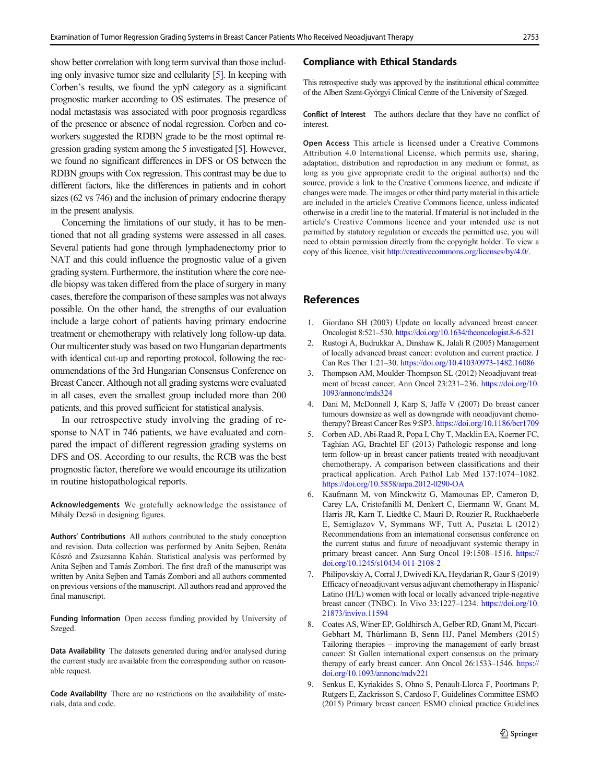<span id="page-6-0"></span>show better correlation with long term survival than those including only invasive tumor size and cellularity [5]. In keeping with Corben's results, we found the ypN category as a significant prognostic marker according to OS estimates. The presence of nodal metastasis was associated with poor prognosis regardless of the presence or absence of nodal regression. Corben and coworkers suggested the RDBN grade to be the most optimal regression grading system among the 5 investigated [5]. However, we found no significant differences in DFS or OS between the RDBN groups with Cox regression. This contrast may be due to different factors, like the differences in patients and in cohort sizes (62 vs 746) and the inclusion of primary endocrine therapy in the present analysis.

Concerning the limitations of our study, it has to be mentioned that not all grading systems were assessed in all cases. Several patients had gone through lymphadenectomy prior to NAT and this could influence the prognostic value of a given grading system. Furthermore, the institution where the core needle biopsy was taken differed from the place of surgery in many cases, therefore the comparison of these samples was not always possible. On the other hand, the strengths of our evaluation include a large cohort of patients having primary endocrine treatment or chemotherapy with relatively long follow-up data. Our multicenter study was based on two Hungarian departments with identical cut-up and reporting protocol, following the recommendations of the 3rd Hungarian Consensus Conference on Breast Cancer. Although not all grading systems were evaluated in all cases, even the smallest group included more than 200 patients, and this proved sufficient for statistical analysis.

In our retrospective study involving the grading of response to NAT in 746 patients, we have evaluated and compared the impact of different regression grading systems on DFS and OS. According to our results, the RCB was the best prognostic factor, therefore we would encourage its utilization in routine histopathological reports.

Acknowledgements We gratefully acknowledge the assistance of Mihály Dezső in designing figures.

Authors' Contributions All authors contributed to the study conception and revision. Data collection was performed by Anita Sejben, Renáta Kószó and Zsuzsanna Kahán. Statistical analysis was performed by Anita Sejben and Tamás Zombori. The first draft of the manuscript was written by Anita Sejben and Tamás Zombori and all authors commented on previous versions of the manuscript. All authors read and approved the final manuscript.

Funding Information Open access funding provided by University of Szeged.

Data Availability The datasets generated during and/or analysed during the current study are available from the corresponding author on reasonable request.

Code Availability There are no restrictions on the availability of materials, data and code.

#### Compliance with Ethical Standards

This retrospective study was approved by the institutional ethical committee of the Albert Szent-Györgyi Clinical Centre of the University of Szeged.

Conflict of Interest The authors declare that they have no conflict of interest.

Open Access This article is licensed under a Creative Commons Attribution 4.0 International License, which permits use, sharing, adaptation, distribution and reproduction in any medium or format, as long as you give appropriate credit to the original author(s) and the source, provide a link to the Creative Commons licence, and indicate if changes were made. The images or other third party material in this article are included in the article's Creative Commons licence, unless indicated otherwise in a credit line to the material. If material is not included in the article's Creative Commons licence and your intended use is not permitted by statutory regulation or exceeds the permitted use, you will need to obtain permission directly from the copyright holder. To view a copy of this licence, visit [http://creativecommons.org/licenses/by/4.0/.](https://doi.org/)

### References

- 1. Giordano SH (2003) Update on locally advanced breast cancer. Oncologist 8:521–530. <https://doi.org/10.1634/theoncologist.8-6-521>
- 2. Rustogi A, Budrukkar A, Dinshaw K, Jalali R (2005) Management of locally advanced breast cancer: evolution and current practice. J Can Res Ther 1:21–30. <https://doi.org/10.4103/0973-1482.16086>
- 3. Thompson AM, Moulder-Thompson SL (2012) Neoadjuvant treatment of breast cancer. Ann Oncol 23:231–236. [https://doi.org/10.](https://doi.org/10.1093/annonc/mds324) [1093/annonc/mds324](https://doi.org/10.1093/annonc/mds324)
- 4. Dani M, McDonnell J, Karp S, Jaffe V (2007) Do breast cancer tumours downsize as well as downgrade with neoadjuvant chemotherapy? Breast Cancer Res 9:SP3. <https://doi.org/10.1186/bcr1709>
- 5. Corben AD, Abi-Raad R, Popa I, Chy T, Macklin EA, Koerner FC, Taghian AG, Brachtel EF (2013) Pathologic response and longterm follow-up in breast cancer patients treated with neoadjuvant chemotherapy. A comparison between classifications and their practical application. Arch Pathol Lab Med 137:1074–1082. <https://doi.org/10.5858/arpa.2012-0290-OA>
- 6. Kaufmann M, von Minckwitz G, Mamounas EP, Cameron D, Carey LA, Cristofanilli M, Denkert C, Eiermann W, Gnant M, Harris JR, Karn T, Liedtke C, Mauri D, Rouzier R, Ruckhaeberle E, Semiglazov V, Symmans WF, Tutt A, Pusztai L (2012) Recommendations from an international consensus conference on the current status and future of neoadjuvant systemic therapy in primary breast cancer. Ann Surg Oncol 19:1508–1516. [https://](https://doi.org/10.1245/s10434-011-2108-2) [doi.org/10.1245/s10434-011-2108-2](https://doi.org/10.1245/s10434-011-2108-2)
- 7. Philipovskiy A, Corral J, Dwivedi KA, Heydarian R, Gaur S (2019) Efficacy of neoadjuvant versus adjuvant chemotherapy in Hispanic/ Latino (H/L) women with local or locally advanced triple-negative breast cancer (TNBC). In Vivo 33:1227–1234. [https://doi.org/10.](https://doi.org/10.21873/invivo.11594) [21873/invivo.11594](https://doi.org/10.21873/invivo.11594)
- 8. Coates AS, Winer EP, Goldhirsch A, Gelber RD, Gnant M, Piccart-Gebhart M, Thürlimann B, Senn HJ, Panel Members (2015) Tailoring therapies – improving the management of early breast cancer: St Gallen international expert consensus on the primary therapy of early breast cancer. Ann Oncol 26:1533–1546. [https://](https://doi.org/10.1093/annonc/mdv221) [doi.org/10.1093/annonc/mdv221](https://doi.org/10.1093/annonc/mdv221)
- 9. Senkus E, Kyriakides S, Ohno S, Penault-Llorca F, Poortmans P, Rutgers E, Zackrisson S, Cardoso F, Guidelines Committee ESMO (2015) Primary breast cancer: ESMO clinical practice Guidelines